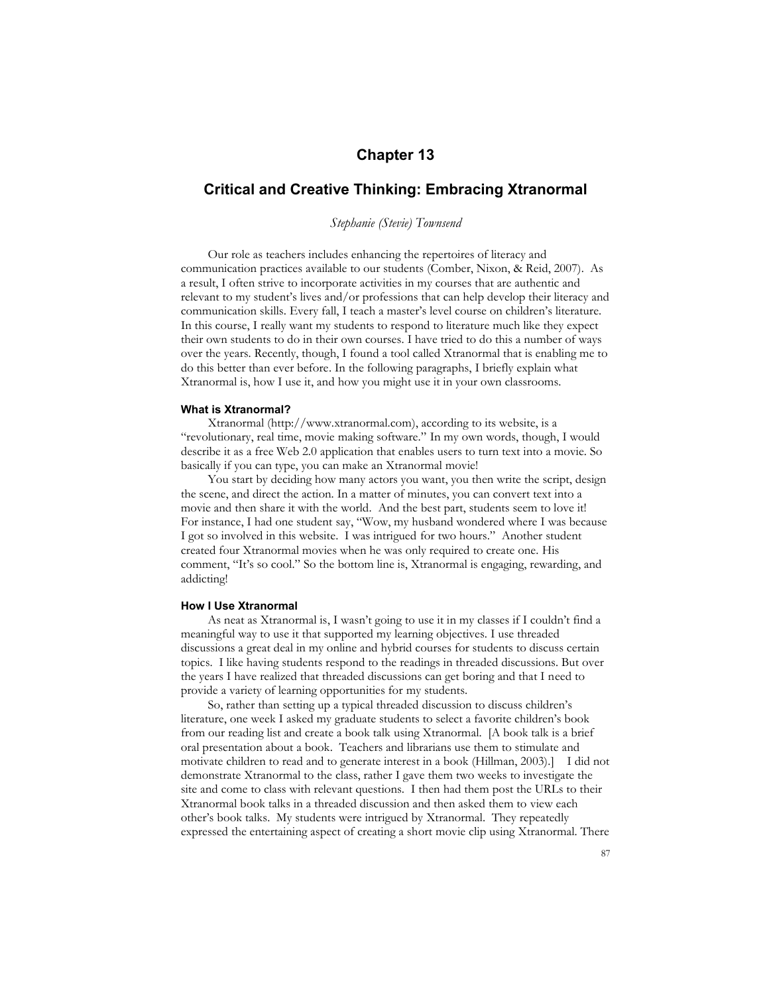# **Chapter 13**

## **Critical and Creative Thinking: Embracing Xtranormal**

## *Stephanie (Stevie) Townsend*

Our role as teachers includes enhancing the repertoires of literacy and communication practices available to our students (Comber, Nixon, & Reid, 2007). As a result, I often strive to incorporate activities in my courses that are authentic and relevant to my student's lives and/or professions that can help develop their literacy and communication skills. Every fall, I teach a master's level course on children's literature. In this course, I really want my students to respond to literature much like they expect their own students to do in their own courses. I have tried to do this a number of ways over the years. Recently, though, I found a tool called Xtranormal that is enabling me to do this better than ever before. In the following paragraphs, I briefly explain what Xtranormal is, how I use it, and how you might use it in your own classrooms.

### **What is Xtranormal?**

Xtranormal (http://www.xtranormal.com), according to its website, is a "revolutionary, real time, movie making software." In my own words, though, I would describe it as a free Web 2.0 application that enables users to turn text into a movie. So basically if you can type, you can make an Xtranormal movie!

You start by deciding how many actors you want, you then write the script, design the scene, and direct the action. In a matter of minutes, you can convert text into a movie and then share it with the world. And the best part, students seem to love it! For instance, I had one student say, "Wow, my husband wondered where I was because I got so involved in this website. I was intrigued for two hours." Another student created four Xtranormal movies when he was only required to create one. His comment, "It's so cool." So the bottom line is, Xtranormal is engaging, rewarding, and addicting!

#### **How I Use Xtranormal**

As neat as Xtranormal is, I wasn't going to use it in my classes if I couldn't find a meaningful way to use it that supported my learning objectives. I use threaded discussions a great deal in my online and hybrid courses for students to discuss certain topics. I like having students respond to the readings in threaded discussions. But over the years I have realized that threaded discussions can get boring and that I need to provide a variety of learning opportunities for my students.

So, rather than setting up a typical threaded discussion to discuss children's literature, one week I asked my graduate students to select a favorite children's book from our reading list and create a book talk using Xtranormal. [A book talk is a brief oral presentation about a book. Teachers and librarians use them to stimulate and motivate children to read and to generate interest in a book (Hillman, 2003).] I did not demonstrate Xtranormal to the class, rather I gave them two weeks to investigate the site and come to class with relevant questions. I then had them post the URLs to their Xtranormal book talks in a threaded discussion and then asked them to view each other's book talks. My students were intrigued by Xtranormal. They repeatedly expressed the entertaining aspect of creating a short movie clip using Xtranormal. There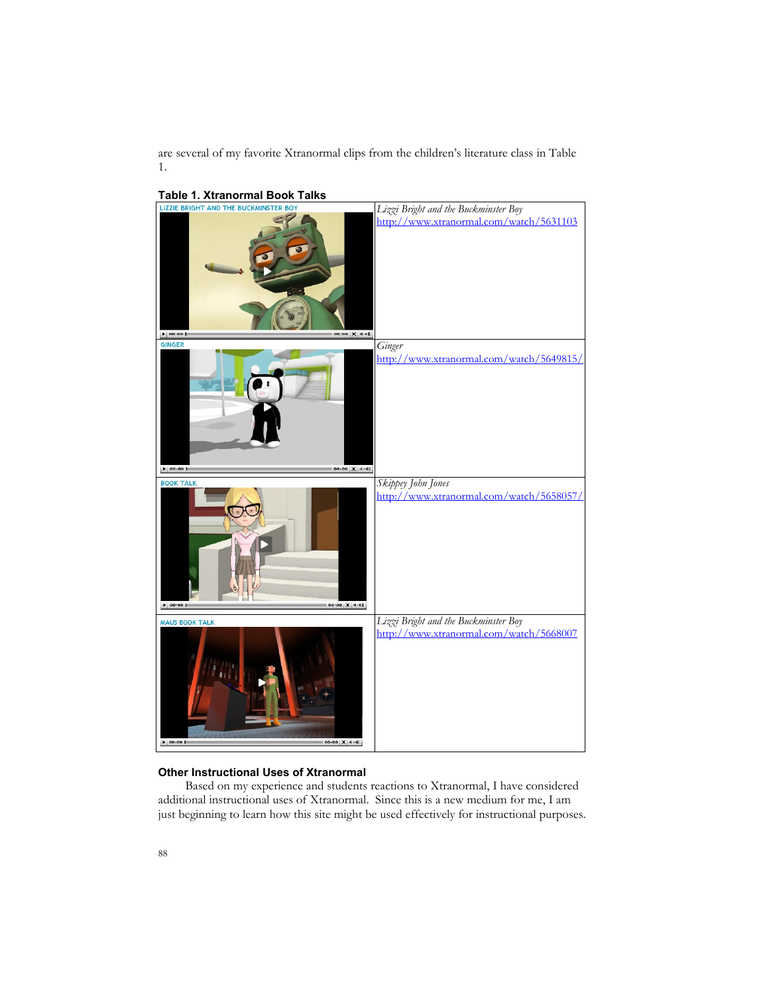are several of my favorite Xtranormal clips from the children's literature class in Table 1.



#### **Other Instructional Uses of Xtranormal**

Based on my experience and students reactions to Xtranormal, I have considered additional instructional uses of Xtranormal. Since this is a new medium for me, I am just beginning to learn how this site might be used effectively for instructional purposes.